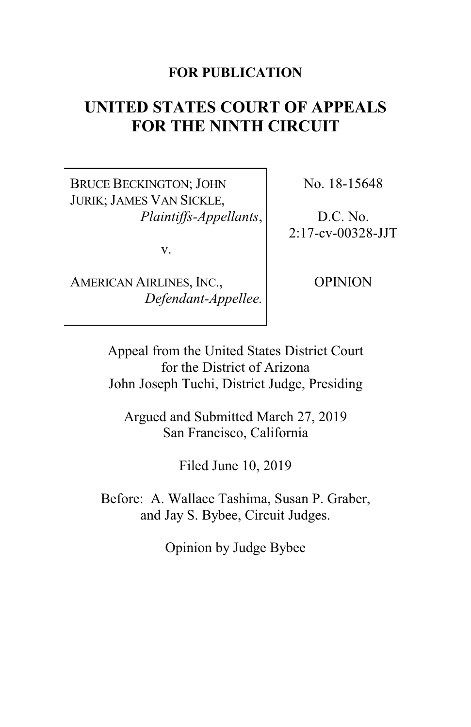# **FOR PUBLICATION**

# **UNITED STATES COURT OF APPEALS FOR THE NINTH CIRCUIT**

BRUCE BECKINGTON; JOHN JURIK; JAMES VAN SICKLE, *Plaintiffs-Appellants*,

v.

AMERICAN AIRLINES, INC., *Defendant-Appellee.* No. 18-15648

D.C. No. 2:17-cv-00328-JJT

OPINION

Appeal from the United States District Court for the District of Arizona John Joseph Tuchi, District Judge, Presiding

Argued and Submitted March 27, 2019 San Francisco, California

Filed June 10, 2019

Before: A. Wallace Tashima, Susan P. Graber, and Jay S. Bybee, Circuit Judges.

Opinion by Judge Bybee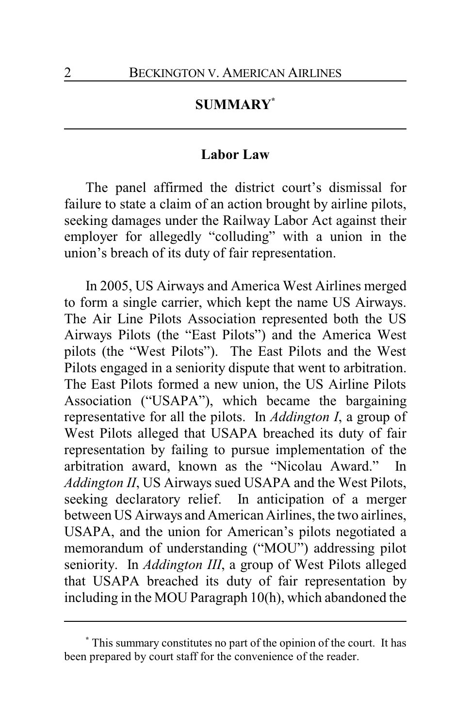# **SUMMARY\***

# **Labor Law**

The panel affirmed the district court's dismissal for failure to state a claim of an action brought by airline pilots, seeking damages under the Railway Labor Act against their employer for allegedly "colluding" with a union in the union's breach of its duty of fair representation.

In 2005, US Airways and America West Airlines merged to form a single carrier, which kept the name US Airways. The Air Line Pilots Association represented both the US Airways Pilots (the "East Pilots") and the America West pilots (the "West Pilots"). The East Pilots and the West Pilots engaged in a seniority dispute that went to arbitration. The East Pilots formed a new union, the US Airline Pilots Association ("USAPA"), which became the bargaining representative for all the pilots. In *Addington I*, a group of West Pilots alleged that USAPA breached its duty of fair representation by failing to pursue implementation of the arbitration award, known as the "Nicolau Award." In *Addington II*, US Airways sued USAPA and the West Pilots, seeking declaratory relief. In anticipation of a merger between US Airways and American Airlines, the two airlines, USAPA, and the union for American's pilots negotiated a memorandum of understanding ("MOU") addressing pilot seniority. In *Addington III*, a group of West Pilots alleged that USAPA breached its duty of fair representation by including in the MOU Paragraph 10(h), which abandoned the

**<sup>\*</sup>** This summary constitutes no part of the opinion of the court. It has been prepared by court staff for the convenience of the reader.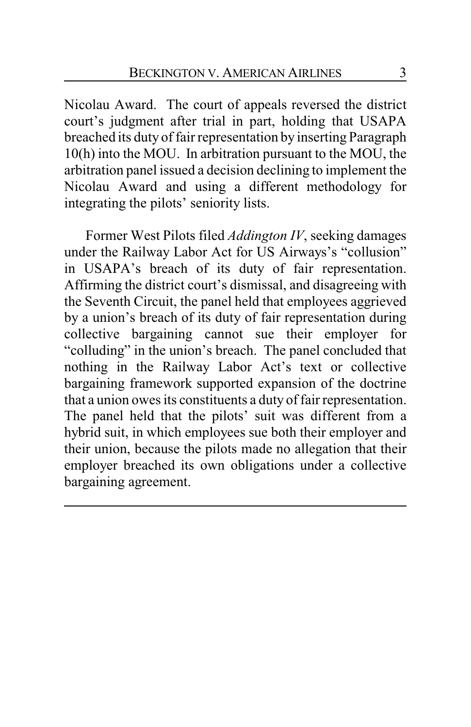Nicolau Award. The court of appeals reversed the district court's judgment after trial in part, holding that USAPA breached its duty of fair representation by inserting Paragraph 10(h) into the MOU. In arbitration pursuant to the MOU, the arbitration panel issued a decision declining to implement the Nicolau Award and using a different methodology for integrating the pilots' seniority lists.

Former West Pilots filed *Addington IV*, seeking damages under the Railway Labor Act for US Airways's "collusion" in USAPA's breach of its duty of fair representation. Affirming the district court's dismissal, and disagreeing with the Seventh Circuit, the panel held that employees aggrieved by a union's breach of its duty of fair representation during collective bargaining cannot sue their employer for "colluding" in the union's breach. The panel concluded that nothing in the Railway Labor Act's text or collective bargaining framework supported expansion of the doctrine that a union owes its constituents a duty of fair representation. The panel held that the pilots' suit was different from a hybrid suit, in which employees sue both their employer and their union, because the pilots made no allegation that their employer breached its own obligations under a collective bargaining agreement.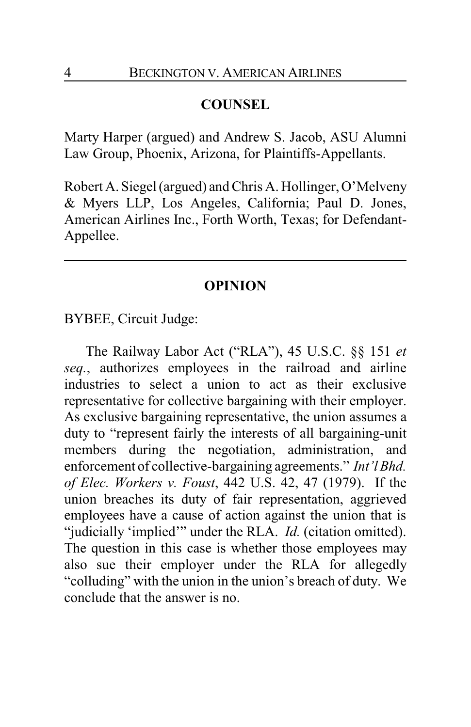# **COUNSEL**

Marty Harper (argued) and Andrew S. Jacob, ASU Alumni Law Group, Phoenix, Arizona, for Plaintiffs-Appellants.

Robert A. Siegel (argued) and Chris A. Hollinger, O'Melveny & Myers LLP, Los Angeles, California; Paul D. Jones, American Airlines Inc., Forth Worth, Texas; for Defendant-Appellee.

# **OPINION**

BYBEE, Circuit Judge:

The Railway Labor Act ("RLA"), 45 U.S.C. §§ 151 *et seq.*, authorizes employees in the railroad and airline industries to select a union to act as their exclusive representative for collective bargaining with their employer. As exclusive bargaining representative, the union assumes a duty to "represent fairly the interests of all bargaining-unit members during the negotiation, administration, and enforcement of collective-bargaining agreements." *Int'l Bhd. of Elec. Workers v. Foust*, 442 U.S. 42, 47 (1979). If the union breaches its duty of fair representation, aggrieved employees have a cause of action against the union that is "judicially 'implied'" under the RLA. *Id.* (citation omitted). The question in this case is whether those employees may also sue their employer under the RLA for allegedly "colluding" with the union in the union's breach of duty. We conclude that the answer is no.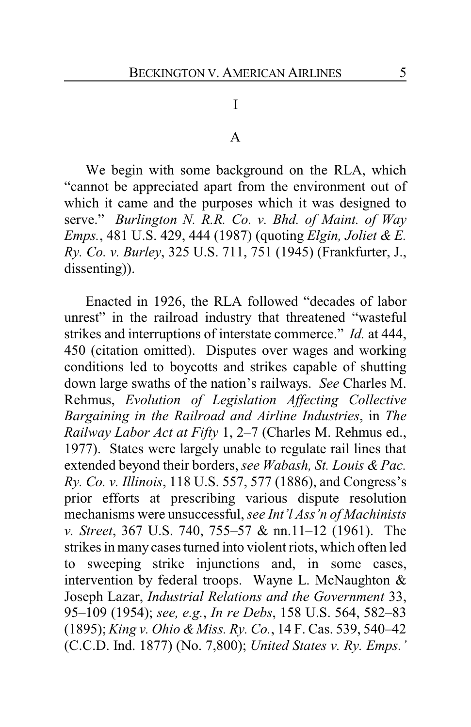# I

#### A

We begin with some background on the RLA, which "cannot be appreciated apart from the environment out of which it came and the purposes which it was designed to serve." *Burlington N. R.R. Co. v. Bhd. of Maint. of Way Emps.*, 481 U.S. 429, 444 (1987) (quoting *Elgin, Joliet & E. Ry. Co. v. Burley*, 325 U.S. 711, 751 (1945) (Frankfurter, J., dissenting)).

Enacted in 1926, the RLA followed "decades of labor unrest" in the railroad industry that threatened "wasteful strikes and interruptions of interstate commerce." *Id.* at 444, 450 (citation omitted). Disputes over wages and working conditions led to boycotts and strikes capable of shutting down large swaths of the nation's railways. *See* Charles M. Rehmus, *Evolution of Legislation Affecting Collective Bargaining in the Railroad and Airline Industries*, in *The Railway Labor Act at Fifty* 1, 2–7 (Charles M. Rehmus ed., 1977). States were largely unable to regulate rail lines that extended beyond their borders, *see Wabash, St. Louis & Pac. Ry. Co. v. Illinois*, 118 U.S. 557, 577 (1886), and Congress's prior efforts at prescribing various dispute resolution mechanisms were unsuccessful, *see Int'l Ass'n of Machinists v. Street*, 367 U.S. 740, 755–57 & nn.11–12 (1961). The strikes in many cases turned into violent riots, which often led to sweeping strike injunctions and, in some cases, intervention by federal troops. Wayne L. McNaughton & Joseph Lazar, *Industrial Relations and the Government* 33, 95–109 (1954); *see, e.g.*, *In re Debs*, 158 U.S. 564, 582–83 (1895); *King v. Ohio & Miss. Ry. Co.*, 14 F. Cas. 539, 540–42 (C.C.D. Ind. 1877) (No. 7,800); *United States v. Ry. Emps.'*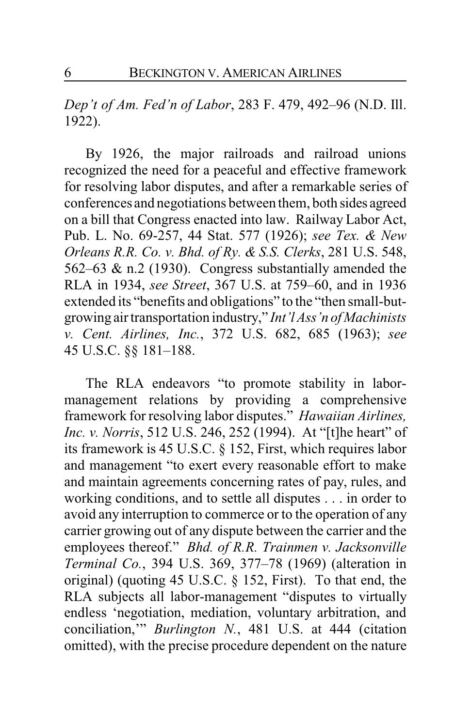*Dep't of Am. Fed'n of Labor*, 283 F. 479, 492–96 (N.D. Ill. 1922).

By 1926, the major railroads and railroad unions recognized the need for a peaceful and effective framework for resolving labor disputes, and after a remarkable series of conferences and negotiations between them, both sides agreed on a bill that Congress enacted into law. Railway Labor Act, Pub. L. No. 69-257, 44 Stat. 577 (1926); *see Tex. & New Orleans R.R. Co. v. Bhd. of Ry. & S.S. Clerks*, 281 U.S. 548, 562–63 & n.2 (1930). Congress substantially amended the RLA in 1934, *see Street*, 367 U.S. at 759–60, and in 1936 extended its "benefits and obligations" to the "then small-butgrowing air transportation industry," *Int'l Ass'n of Machinists v. Cent. Airlines, Inc.*, 372 U.S. 682, 685 (1963); *see* 45 U.S.C. §§ 181–188.

The RLA endeavors "to promote stability in labormanagement relations by providing a comprehensive framework for resolving labor disputes." *Hawaiian Airlines, Inc. v. Norris*, 512 U.S. 246, 252 (1994). At "[t]he heart" of its framework is 45 U.S.C. § 152, First, which requires labor and management "to exert every reasonable effort to make and maintain agreements concerning rates of pay, rules, and working conditions, and to settle all disputes . . . in order to avoid any interruption to commerce or to the operation of any carrier growing out of any dispute between the carrier and the employees thereof." *Bhd. of R.R. Trainmen v. Jacksonville Terminal Co.*, 394 U.S. 369, 377–78 (1969) (alteration in original) (quoting 45 U.S.C. § 152, First). To that end, the RLA subjects all labor-management "disputes to virtually endless 'negotiation, mediation, voluntary arbitration, and conciliation,'" *Burlington N.*, 481 U.S. at 444 (citation omitted), with the precise procedure dependent on the nature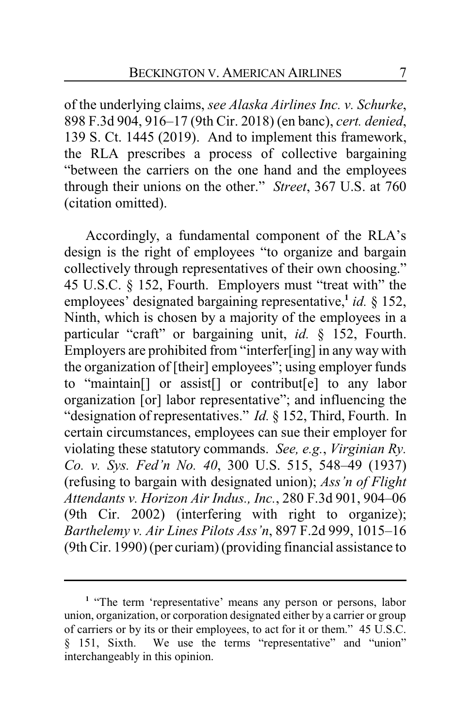of the underlying claims, *see Alaska Airlines Inc. v. Schurke*, 898 F.3d 904, 916–17 (9th Cir. 2018) (en banc), *cert. denied*, 139 S. Ct. 1445 (2019). And to implement this framework, the RLA prescribes a process of collective bargaining "between the carriers on the one hand and the employees through their unions on the other." *Street*, 367 U.S. at 760 (citation omitted).

Accordingly, a fundamental component of the RLA's design is the right of employees "to organize and bargain collectively through representatives of their own choosing." 45 U.S.C. § 152, Fourth. Employers must "treat with" the employees' designated bargaining representative,**<sup>1</sup>** *id.* § 152, Ninth, which is chosen by a majority of the employees in a particular "craft" or bargaining unit, *id.* § 152, Fourth. Employers are prohibited from "interfer[ing] in any way with the organization of [their] employees"; using employer funds to "maintain[] or assist[] or contribut[e] to any labor organization [or] labor representative"; and influencing the "designation of representatives." *Id.* § 152, Third, Fourth. In certain circumstances, employees can sue their employer for violating these statutory commands. *See, e.g.*, *Virginian Ry. Co. v. Sys. Fed'n No. 40*, 300 U.S. 515, 548–49 (1937) (refusing to bargain with designated union); *Ass'n of Flight Attendants v. Horizon Air Indus., Inc.*, 280 F.3d 901, 904–06 (9th Cir. 2002) (interfering with right to organize); *Barthelemy v. Air Lines Pilots Ass'n*, 897 F.2d 999, 1015–16 (9th Cir. 1990) (per curiam) (providing financial assistance to

<sup>&</sup>lt;sup>1</sup> "The term 'representative' means any person or persons, labor union, organization, or corporation designated either by a carrier or group of carriers or by its or their employees, to act for it or them." 45 U.S.C. § 151, Sixth. We use the terms "representative" and "union" interchangeably in this opinion.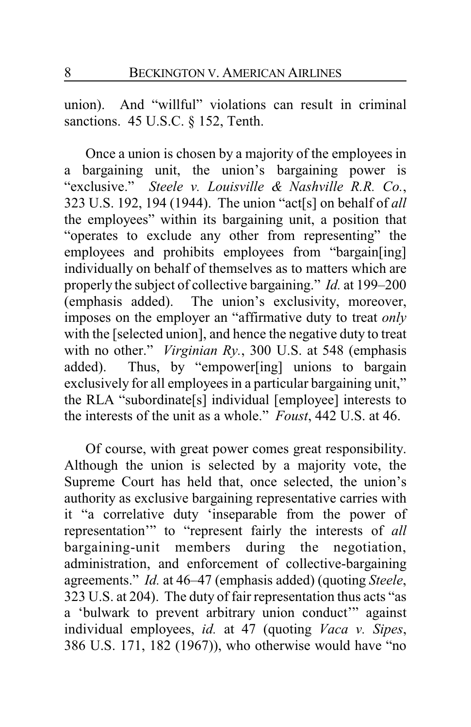union). And "willful" violations can result in criminal sanctions. 45 U.S.C. § 152, Tenth.

Once a union is chosen by a majority of the employees in a bargaining unit, the union's bargaining power is "exclusive." *Steele v. Louisville & Nashville R.R. Co.*, 323 U.S. 192, 194 (1944). The union "act[s] on behalf of *all* the employees" within its bargaining unit, a position that "operates to exclude any other from representing" the employees and prohibits employees from "bargain[ing] individually on behalf of themselves as to matters which are properly the subject of collective bargaining." *Id.* at 199–200 (emphasis added). The union's exclusivity, moreover, imposes on the employer an "affirmative duty to treat *only* with the [selected union], and hence the negative duty to treat with no other." *Virginian Ry.*, 300 U.S. at 548 (emphasis added). Thus, by "empower[ing] unions to bargain exclusively for all employees in a particular bargaining unit," the RLA "subordinate[s] individual [employee] interests to the interests of the unit as a whole." *Foust*, 442 U.S. at 46.

Of course, with great power comes great responsibility. Although the union is selected by a majority vote, the Supreme Court has held that, once selected, the union's authority as exclusive bargaining representative carries with it "a correlative duty 'inseparable from the power of representation'" to "represent fairly the interests of *all* bargaining-unit members during the negotiation, administration, and enforcement of collective-bargaining agreements." *Id.* at 46–47 (emphasis added) (quoting *Steele*, 323 U.S. at 204). The duty of fair representation thus acts "as a 'bulwark to prevent arbitrary union conduct'" against individual employees, *id.* at 47 (quoting *Vaca v. Sipes*, 386 U.S. 171, 182 (1967)), who otherwise would have "no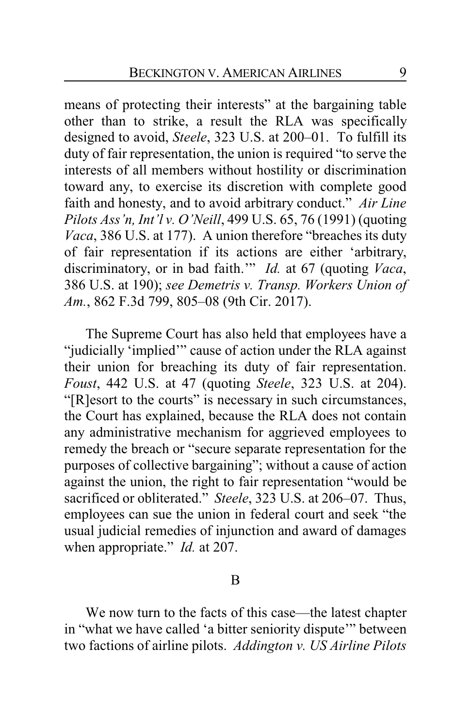means of protecting their interests" at the bargaining table other than to strike, a result the RLA was specifically designed to avoid, *Steele*, 323 U.S. at 200–01. To fulfill its duty of fair representation, the union is required "to serve the interests of all members without hostility or discrimination toward any, to exercise its discretion with complete good faith and honesty, and to avoid arbitrary conduct." *Air Line Pilots Ass'n, Int'l v. O'Neill*, 499 U.S. 65, 76 (1991) (quoting *Vaca*, 386 U.S. at 177). A union therefore "breaches its duty of fair representation if its actions are either 'arbitrary, discriminatory, or in bad faith.'" *Id.* at 67 (quoting *Vaca*, 386 U.S. at 190); *see Demetris v. Transp. Workers Union of Am.*, 862 F.3d 799, 805–08 (9th Cir. 2017).

The Supreme Court has also held that employees have a "judicially 'implied'" cause of action under the RLA against their union for breaching its duty of fair representation. *Foust*, 442 U.S. at 47 (quoting *Steele*, 323 U.S. at 204). "[R]esort to the courts" is necessary in such circumstances, the Court has explained, because the RLA does not contain any administrative mechanism for aggrieved employees to remedy the breach or "secure separate representation for the purposes of collective bargaining"; without a cause of action against the union, the right to fair representation "would be sacrificed or obliterated." *Steele*, 323 U.S. at 206–07. Thus, employees can sue the union in federal court and seek "the usual judicial remedies of injunction and award of damages when appropriate." *Id.* at 207.

### B

We now turn to the facts of this case—the latest chapter in "what we have called 'a bitter seniority dispute'" between two factions of airline pilots. *Addington v. US Airline Pilots*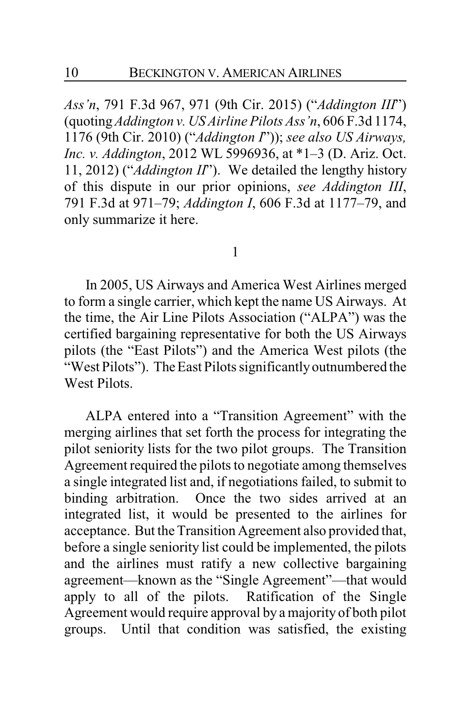*Ass'n*, 791 F.3d 967, 971 (9th Cir. 2015) ("*Addington III*") (quoting*Addington v. US Airline Pilots Ass'n*, 606 F.3d 1174, 1176 (9th Cir. 2010) ("*Addington I*")); *see also US Airways, Inc. v. Addington*, 2012 WL 5996936, at \*1–3 (D. Ariz. Oct. 11, 2012) ("*Addington II*"). We detailed the lengthy history of this dispute in our prior opinions, *see Addington III*, 791 F.3d at 971–79; *Addington I*, 606 F.3d at 1177–79, and only summarize it here.

1

In 2005, US Airways and America West Airlines merged to form a single carrier, which kept the name US Airways. At the time, the Air Line Pilots Association ("ALPA") was the certified bargaining representative for both the US Airways pilots (the "East Pilots") and the America West pilots (the "West Pilots"). The East Pilots significantly outnumbered the West Pilots.

ALPA entered into a "Transition Agreement" with the merging airlines that set forth the process for integrating the pilot seniority lists for the two pilot groups. The Transition Agreement required the pilots to negotiate among themselves a single integrated list and, if negotiations failed, to submit to binding arbitration. Once the two sides arrived at an integrated list, it would be presented to the airlines for acceptance. But the Transition Agreement also provided that, before a single seniority list could be implemented, the pilots and the airlines must ratify a new collective bargaining agreement—known as the "Single Agreement"—that would apply to all of the pilots. Ratification of the Single Agreement would require approval by a majority of both pilot groups. Until that condition was satisfied, the existing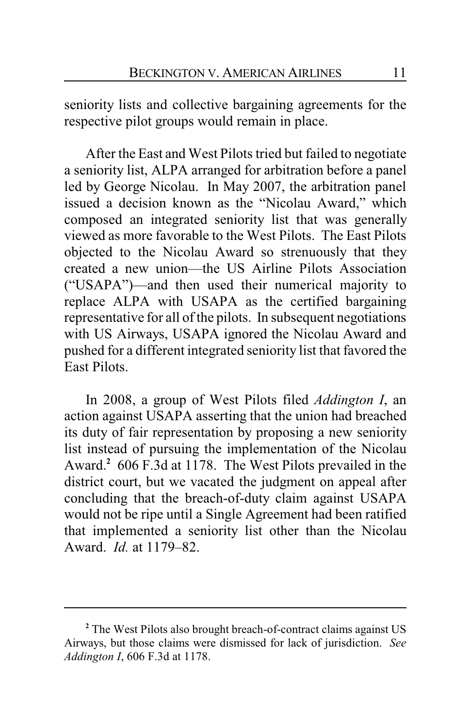seniority lists and collective bargaining agreements for the respective pilot groups would remain in place.

After the East and West Pilots tried but failed to negotiate a seniority list, ALPA arranged for arbitration before a panel led by George Nicolau. In May 2007, the arbitration panel issued a decision known as the "Nicolau Award," which composed an integrated seniority list that was generally viewed as more favorable to the West Pilots. The East Pilots objected to the Nicolau Award so strenuously that they created a new union—the US Airline Pilots Association ("USAPA")—and then used their numerical majority to replace ALPA with USAPA as the certified bargaining representative for all of the pilots. In subsequent negotiations with US Airways, USAPA ignored the Nicolau Award and pushed for a different integrated seniority list that favored the East Pilots.

In 2008, a group of West Pilots filed *Addington I*, an action against USAPA asserting that the union had breached its duty of fair representation by proposing a new seniority list instead of pursuing the implementation of the Nicolau Award.**<sup>2</sup>** 606 F.3d at 1178. The West Pilots prevailed in the district court, but we vacated the judgment on appeal after concluding that the breach-of-duty claim against USAPA would not be ripe until a Single Agreement had been ratified that implemented a seniority list other than the Nicolau Award. *Id.* at 1179–82.

**<sup>2</sup>** The West Pilots also brought breach-of-contract claims against US Airways, but those claims were dismissed for lack of jurisdiction. *See Addington I*, 606 F.3d at 1178.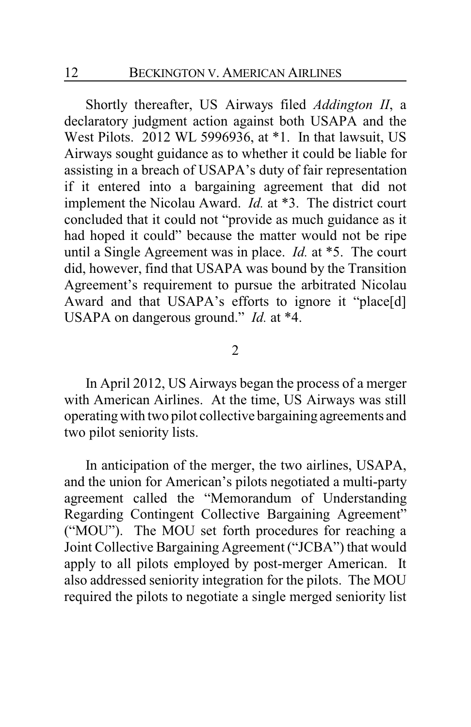Shortly thereafter, US Airways filed *Addington II*, a declaratory judgment action against both USAPA and the West Pilots. 2012 WL 5996936, at \*1. In that lawsuit, US Airways sought guidance as to whether it could be liable for assisting in a breach of USAPA's duty of fair representation if it entered into a bargaining agreement that did not implement the Nicolau Award. *Id.* at \*3. The district court concluded that it could not "provide as much guidance as it had hoped it could" because the matter would not be ripe until a Single Agreement was in place. *Id.* at \*5. The court did, however, find that USAPA was bound by the Transition Agreement's requirement to pursue the arbitrated Nicolau Award and that USAPA's efforts to ignore it "place[d] USAPA on dangerous ground." *Id.* at \*4.

#### 2

In April 2012, US Airways began the process of a merger with American Airlines. At the time, US Airways was still operating with two pilot collective bargaining agreements and two pilot seniority lists.

In anticipation of the merger, the two airlines, USAPA, and the union for American's pilots negotiated a multi-party agreement called the "Memorandum of Understanding Regarding Contingent Collective Bargaining Agreement" ("MOU"). The MOU set forth procedures for reaching a Joint Collective Bargaining Agreement ("JCBA") that would apply to all pilots employed by post-merger American. It also addressed seniority integration for the pilots. The MOU required the pilots to negotiate a single merged seniority list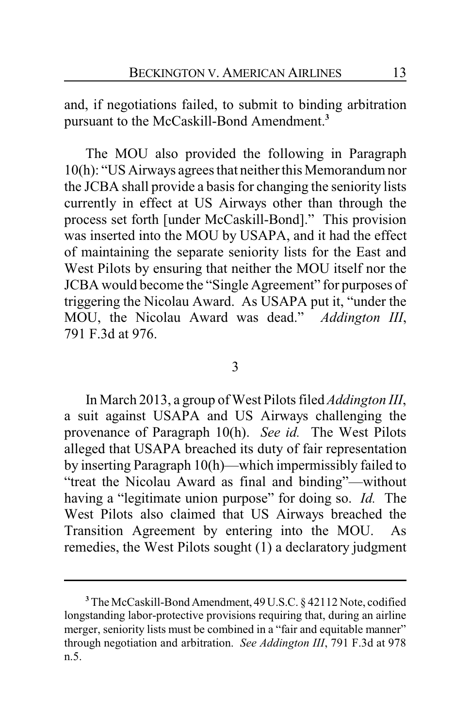and, if negotiations failed, to submit to binding arbitration pursuant to the McCaskill-Bond Amendment.**<sup>3</sup>**

The MOU also provided the following in Paragraph 10(h): "US Airways agrees that neither this Memorandum nor the JCBA shall provide a basis for changing the seniority lists currently in effect at US Airways other than through the process set forth [under McCaskill-Bond]." This provision was inserted into the MOU by USAPA, and it had the effect of maintaining the separate seniority lists for the East and West Pilots by ensuring that neither the MOU itself nor the JCBA would become the "Single Agreement" for purposes of triggering the Nicolau Award. As USAPA put it, "under the MOU, the Nicolau Award was dead." *Addington III*, 791 F.3d at 976.

# 3

In March 2013, a group of West Pilots filed *Addington III*, a suit against USAPA and US Airways challenging the provenance of Paragraph 10(h). *See id.* The West Pilots alleged that USAPA breached its duty of fair representation by inserting Paragraph 10(h)—which impermissibly failed to "treat the Nicolau Award as final and binding"—without having a "legitimate union purpose" for doing so. *Id.* The West Pilots also claimed that US Airways breached the Transition Agreement by entering into the MOU. As remedies, the West Pilots sought (1) a declaratory judgment

**<sup>3</sup>**The McCaskill-Bond Amendment, 49U.S.C. § 42112 Note, codified longstanding labor-protective provisions requiring that, during an airline merger, seniority lists must be combined in a "fair and equitable manner" through negotiation and arbitration. *See Addington III*, 791 F.3d at 978 n.5.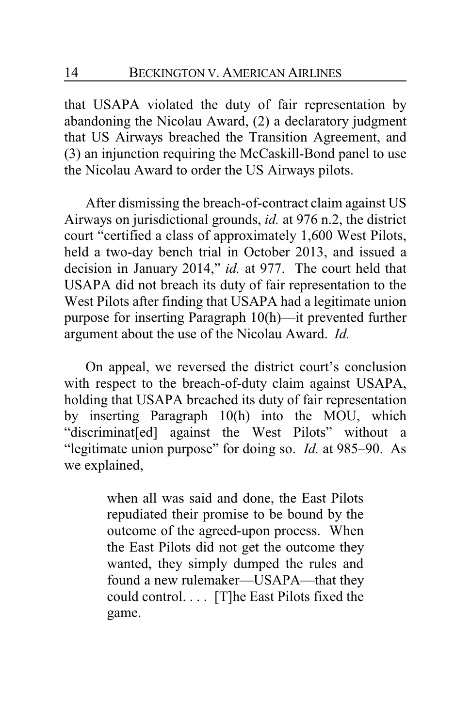that USAPA violated the duty of fair representation by abandoning the Nicolau Award, (2) a declaratory judgment that US Airways breached the Transition Agreement, and (3) an injunction requiring the McCaskill-Bond panel to use the Nicolau Award to order the US Airways pilots.

After dismissing the breach-of-contract claim against US Airways on jurisdictional grounds, *id.* at 976 n.2, the district court "certified a class of approximately 1,600 West Pilots, held a two-day bench trial in October 2013, and issued a decision in January 2014," *id.* at 977. The court held that USAPA did not breach its duty of fair representation to the West Pilots after finding that USAPA had a legitimate union purpose for inserting Paragraph 10(h)—it prevented further argument about the use of the Nicolau Award. *Id.*

On appeal, we reversed the district court's conclusion with respect to the breach-of-duty claim against USAPA, holding that USAPA breached its duty of fair representation by inserting Paragraph 10(h) into the MOU, which "discriminat[ed] against the West Pilots" without a "legitimate union purpose" for doing so. *Id.* at 985–90. As we explained,

> when all was said and done, the East Pilots repudiated their promise to be bound by the outcome of the agreed-upon process. When the East Pilots did not get the outcome they wanted, they simply dumped the rules and found a new rulemaker—USAPA—that they could control. . . . [T]he East Pilots fixed the game.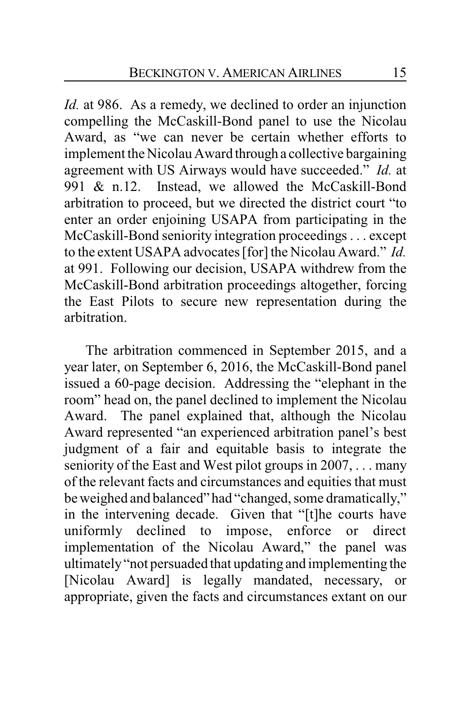*Id.* at 986. As a remedy, we declined to order an injunction compelling the McCaskill-Bond panel to use the Nicolau Award, as "we can never be certain whether efforts to implement the Nicolau Award through a collective bargaining agreement with US Airways would have succeeded." *Id.* at 991 & n.12. Instead, we allowed the McCaskill-Bond arbitration to proceed, but we directed the district court "to enter an order enjoining USAPA from participating in the McCaskill-Bond seniority integration proceedings . . . except to the extent USAPA advocates [for] the Nicolau Award." *Id.* at 991. Following our decision, USAPA withdrew from the McCaskill-Bond arbitration proceedings altogether, forcing the East Pilots to secure new representation during the arbitration.

The arbitration commenced in September 2015, and a year later, on September 6, 2016, the McCaskill-Bond panel issued a 60-page decision. Addressing the "elephant in the room" head on, the panel declined to implement the Nicolau Award. The panel explained that, although the Nicolau Award represented "an experienced arbitration panel's best judgment of a fair and equitable basis to integrate the seniority of the East and West pilot groups in 2007, . . . many of the relevant facts and circumstances and equities that must be weighed and balanced" had "changed, some dramatically," in the intervening decade. Given that "[t]he courts have uniformly declined to impose, enforce or direct implementation of the Nicolau Award," the panel was ultimately"not persuaded that updating and implementing the [Nicolau Award] is legally mandated, necessary, or appropriate, given the facts and circumstances extant on our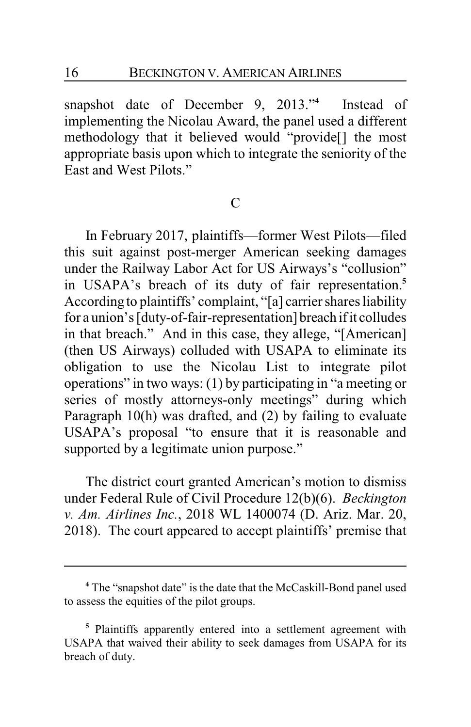snapshot date of December 9, 2013."**<sup>4</sup>** Instead of implementing the Nicolau Award, the panel used a different methodology that it believed would "provide[] the most appropriate basis upon which to integrate the seniority of the East and West Pilots."

# $\mathcal{C}$

In February 2017, plaintiffs—former West Pilots—filed this suit against post-merger American seeking damages under the Railway Labor Act for US Airways's "collusion" in USAPA's breach of its duty of fair representation.**<sup>5</sup>** According to plaintiffs' complaint, "[a] carrier shares liability for a union's [duty-of-fair-representation] breach if it colludes in that breach." And in this case, they allege, "[American] (then US Airways) colluded with USAPA to eliminate its obligation to use the Nicolau List to integrate pilot operations" in two ways: (1) by participating in "a meeting or series of mostly attorneys-only meetings" during which Paragraph 10(h) was drafted, and (2) by failing to evaluate USAPA's proposal "to ensure that it is reasonable and supported by a legitimate union purpose."

The district court granted American's motion to dismiss under Federal Rule of Civil Procedure 12(b)(6). *Beckington v. Am. Airlines Inc.*, 2018 WL 1400074 (D. Ariz. Mar. 20, 2018). The court appeared to accept plaintiffs' premise that

**<sup>4</sup>** The "snapshot date" is the date that the McCaskill-Bond panel used to assess the equities of the pilot groups.

**<sup>5</sup>** Plaintiffs apparently entered into a settlement agreement with USAPA that waived their ability to seek damages from USAPA for its breach of duty.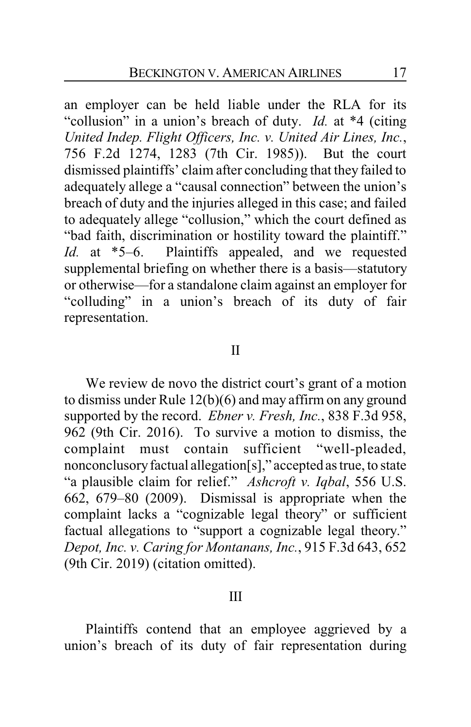an employer can be held liable under the RLA for its "collusion" in a union's breach of duty. *Id.* at \*4 (citing *United Indep. Flight Officers, Inc. v. United Air Lines, Inc.*, 756 F.2d 1274, 1283 (7th Cir. 1985)). But the court dismissed plaintiffs' claim after concluding that they failed to adequately allege a "causal connection" between the union's breach of duty and the injuries alleged in this case; and failed to adequately allege "collusion," which the court defined as "bad faith, discrimination or hostility toward the plaintiff." *Id.* at \*5–6. Plaintiffs appealed, and we requested supplemental briefing on whether there is a basis—statutory or otherwise—for a standalone claim against an employer for "colluding" in a union's breach of its duty of fair representation.

### II

We review de novo the district court's grant of a motion to dismiss under Rule 12(b)(6) and may affirm on any ground supported by the record. *Ebner v. Fresh, Inc.*, 838 F.3d 958, 962 (9th Cir. 2016). To survive a motion to dismiss, the complaint must contain sufficient "well-pleaded, nonconclusoryfactual allegation[s]," accepted as true, to state "a plausible claim for relief." *Ashcroft v. Iqbal*, 556 U.S. 662, 679–80 (2009). Dismissal is appropriate when the complaint lacks a "cognizable legal theory" or sufficient factual allegations to "support a cognizable legal theory." *Depot, Inc. v. Caring for Montanans, Inc.*, 915 F.3d 643, 652 (9th Cir. 2019) (citation omitted).

#### III

Plaintiffs contend that an employee aggrieved by a union's breach of its duty of fair representation during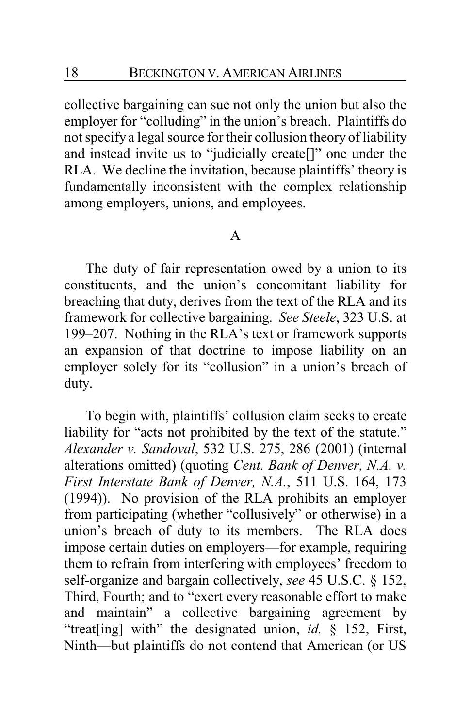collective bargaining can sue not only the union but also the employer for "colluding" in the union's breach. Plaintiffs do not specify a legal source for their collusion theory of liability and instead invite us to "judicially create[]" one under the RLA. We decline the invitation, because plaintiffs' theory is fundamentally inconsistent with the complex relationship among employers, unions, and employees.

### A

The duty of fair representation owed by a union to its constituents, and the union's concomitant liability for breaching that duty, derives from the text of the RLA and its framework for collective bargaining. *See Steele*, 323 U.S. at 199–207. Nothing in the RLA's text or framework supports an expansion of that doctrine to impose liability on an employer solely for its "collusion" in a union's breach of duty.

To begin with, plaintiffs' collusion claim seeks to create liability for "acts not prohibited by the text of the statute." *Alexander v. Sandoval*, 532 U.S. 275, 286 (2001) (internal alterations omitted) (quoting *Cent. Bank of Denver, N.A. v. First Interstate Bank of Denver, N.A.*, 511 U.S. 164, 173 (1994)). No provision of the RLA prohibits an employer from participating (whether "collusively" or otherwise) in a union's breach of duty to its members. The RLA does impose certain duties on employers—for example, requiring them to refrain from interfering with employees' freedom to self-organize and bargain collectively, *see* 45 U.S.C. § 152, Third, Fourth; and to "exert every reasonable effort to make and maintain" a collective bargaining agreement by "treat[ing] with" the designated union, *id.* § 152, First, Ninth—but plaintiffs do not contend that American (or US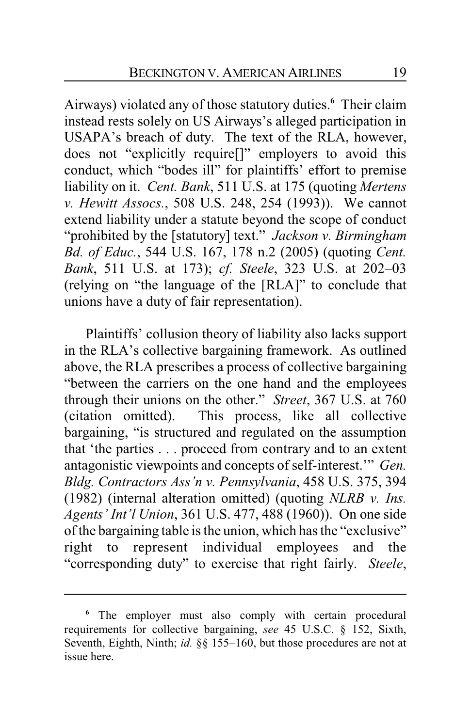Airways) violated any of those statutory duties.**<sup>6</sup>** Their claim instead rests solely on US Airways's alleged participation in USAPA's breach of duty. The text of the RLA, however, does not "explicitly require[]" employers to avoid this conduct, which "bodes ill" for plaintiffs' effort to premise liability on it. *Cent. Bank*, 511 U.S. at 175 (quoting *Mertens v. Hewitt Assocs.*, 508 U.S. 248, 254 (1993)). We cannot extend liability under a statute beyond the scope of conduct "prohibited by the [statutory] text." *Jackson v. Birmingham Bd. of Educ.*, 544 U.S. 167, 178 n.2 (2005) (quoting *Cent. Bank*, 511 U.S. at 173); *cf. Steele*, 323 U.S. at 202–03 (relying on "the language of the [RLA]" to conclude that unions have a duty of fair representation).

Plaintiffs' collusion theory of liability also lacks support in the RLA's collective bargaining framework. As outlined above, the RLA prescribes a process of collective bargaining "between the carriers on the one hand and the employees through their unions on the other." *Street*, 367 U.S. at 760 (citation omitted). This process, like all collective bargaining, "is structured and regulated on the assumption that 'the parties . . . proceed from contrary and to an extent antagonistic viewpoints and concepts of self-interest.'" *Gen. Bldg. Contractors Ass'n v. Pennsylvania*, 458 U.S. 375, 394 (1982) (internal alteration omitted) (quoting *NLRB v. Ins. Agents' Int'l Union*, 361 U.S. 477, 488 (1960)). On one side of the bargaining table is the union, which has the "exclusive" right to represent individual employees and the "corresponding duty" to exercise that right fairly. *Steele*,

**<sup>6</sup>** The employer must also comply with certain procedural requirements for collective bargaining, *see* 45 U.S.C. § 152, Sixth, Seventh, Eighth, Ninth; *id.* §§ 155–160, but those procedures are not at issue here.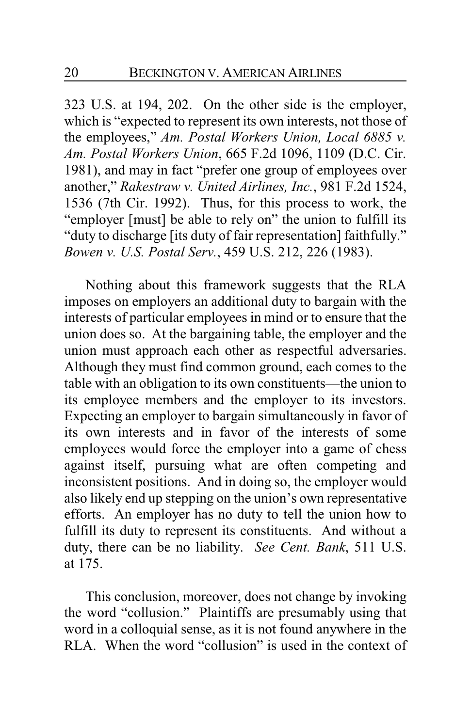323 U.S. at 194, 202. On the other side is the employer, which is "expected to represent its own interests, not those of the employees," *Am. Postal Workers Union, Local 6885 v. Am. Postal Workers Union*, 665 F.2d 1096, 1109 (D.C. Cir. 1981), and may in fact "prefer one group of employees over another," *Rakestraw v. United Airlines, Inc.*, 981 F.2d 1524, 1536 (7th Cir. 1992). Thus, for this process to work, the "employer [must] be able to rely on" the union to fulfill its "duty to discharge [its duty of fair representation] faithfully." *Bowen v. U.S. Postal Serv.*, 459 U.S. 212, 226 (1983).

Nothing about this framework suggests that the RLA imposes on employers an additional duty to bargain with the interests of particular employees in mind or to ensure that the union does so. At the bargaining table, the employer and the union must approach each other as respectful adversaries. Although they must find common ground, each comes to the table with an obligation to its own constituents—the union to its employee members and the employer to its investors. Expecting an employer to bargain simultaneously in favor of its own interests and in favor of the interests of some employees would force the employer into a game of chess against itself, pursuing what are often competing and inconsistent positions. And in doing so, the employer would also likely end up stepping on the union's own representative efforts. An employer has no duty to tell the union how to fulfill its duty to represent its constituents. And without a duty, there can be no liability. *See Cent. Bank*, 511 U.S. at 175.

This conclusion, moreover, does not change by invoking the word "collusion." Plaintiffs are presumably using that word in a colloquial sense, as it is not found anywhere in the RLA. When the word "collusion" is used in the context of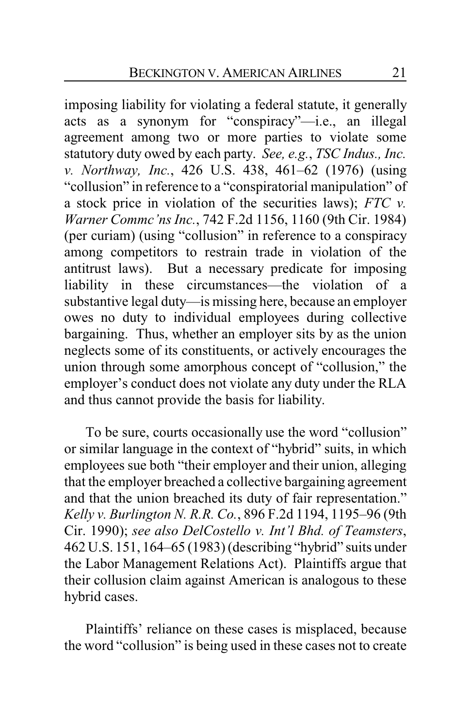imposing liability for violating a federal statute, it generally acts as a synonym for "conspiracy"—i.e., an illegal agreement among two or more parties to violate some statutory duty owed by each party. *See, e.g.*, *TSC Indus., Inc. v. Northway, Inc.*, 426 U.S. 438, 461–62 (1976) (using "collusion" in reference to a "conspiratorial manipulation" of a stock price in violation of the securities laws); *FTC v. Warner Commc'ns Inc.*, 742 F.2d 1156, 1160 (9th Cir. 1984) (per curiam) (using "collusion" in reference to a conspiracy among competitors to restrain trade in violation of the antitrust laws). But a necessary predicate for imposing liability in these circumstances—the violation of a substantive legal duty—is missing here, because an employer owes no duty to individual employees during collective bargaining. Thus, whether an employer sits by as the union neglects some of its constituents, or actively encourages the union through some amorphous concept of "collusion," the employer's conduct does not violate any duty under the RLA and thus cannot provide the basis for liability.

To be sure, courts occasionally use the word "collusion" or similar language in the context of "hybrid" suits, in which employees sue both "their employer and their union, alleging that the employer breached a collective bargaining agreement and that the union breached its duty of fair representation." *Kelly v. Burlington N. R.R. Co.*, 896 F.2d 1194, 1195–96 (9th Cir. 1990); *see also DelCostello v. Int'l Bhd. of Teamsters*, 462 U.S. 151, 164–65 (1983) (describing "hybrid" suits under the Labor Management Relations Act). Plaintiffs argue that their collusion claim against American is analogous to these hybrid cases.

Plaintiffs' reliance on these cases is misplaced, because the word "collusion" is being used in these cases not to create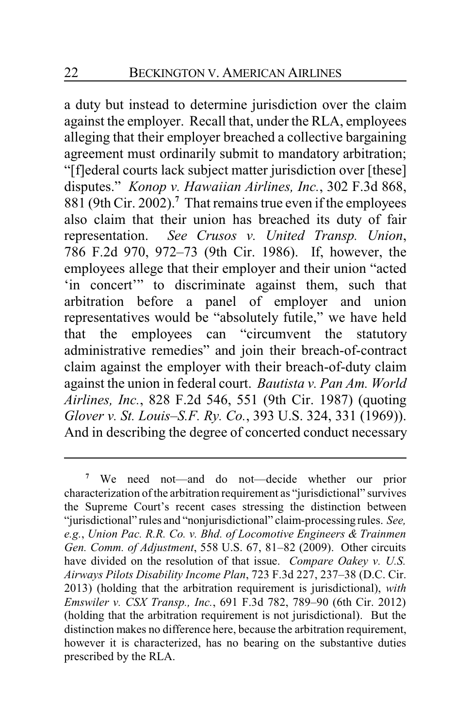a duty but instead to determine jurisdiction over the claim against the employer. Recall that, under the RLA, employees alleging that their employer breached a collective bargaining agreement must ordinarily submit to mandatory arbitration; "[f]ederal courts lack subject matter jurisdiction over [these] disputes." *Konop v. Hawaiian Airlines, Inc.*, 302 F.3d 868, 881 (9th Cir. 2002).**<sup>7</sup>** That remains true even if the employees also claim that their union has breached its duty of fair representation. *See Crusos v. United Transp. Union*, 786 F.2d 970, 972–73 (9th Cir. 1986). If, however, the employees allege that their employer and their union "acted 'in concert'" to discriminate against them, such that arbitration before a panel of employer and union representatives would be "absolutely futile," we have held that the employees can "circumvent the statutory administrative remedies" and join their breach-of-contract claim against the employer with their breach-of-duty claim against the union in federal court. *Bautista v. Pan Am. World Airlines, Inc.*, 828 F.2d 546, 551 (9th Cir. 1987) (quoting *Glover v. St. Louis–S.F. Ry. Co.*, 393 U.S. 324, 331 (1969)). And in describing the degree of concerted conduct necessary

**<sup>7</sup>** We need not—and do not—decide whether our prior characterization ofthe arbitration requirement as "jurisdictional" survives the Supreme Court's recent cases stressing the distinction between "jurisdictional" rules and "nonjurisdictional" claim-processing rules. *See, e.g.*, *Union Pac. R.R. Co. v. Bhd. of Locomotive Engineers & Trainmen Gen. Comm. of Adjustment*, 558 U.S. 67, 81–82 (2009). Other circuits have divided on the resolution of that issue. *Compare Oakey v. U.S. Airways Pilots Disability Income Plan*, 723 F.3d 227, 237–38 (D.C. Cir. 2013) (holding that the arbitration requirement is jurisdictional), *with Emswiler v. CSX Transp., Inc.*, 691 F.3d 782, 789–90 (6th Cir. 2012) (holding that the arbitration requirement is not jurisdictional). But the distinction makes no difference here, because the arbitration requirement, however it is characterized, has no bearing on the substantive duties prescribed by the RLA.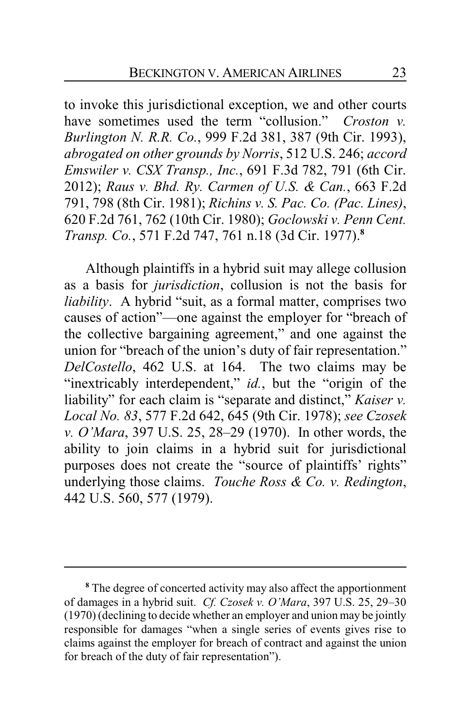to invoke this jurisdictional exception, we and other courts have sometimes used the term "collusion." *Croston v. Burlington N. R.R. Co.*, 999 F.2d 381, 387 (9th Cir. 1993), *abrogated on other grounds by Norris*, 512 U.S. 246; *accord Emswiler v. CSX Transp., Inc.*, 691 F.3d 782, 791 (6th Cir. 2012); *Raus v. Bhd. Ry. Carmen of U.S. & Can.*, 663 F.2d 791, 798 (8th Cir. 1981); *Richins v. S. Pac. Co. (Pac. Lines)*, 620 F.2d 761, 762 (10th Cir. 1980); *Goclowski v. Penn Cent. Transp. Co.*, 571 F.2d 747, 761 n.18 (3d Cir. 1977).**<sup>8</sup>**

Although plaintiffs in a hybrid suit may allege collusion as a basis for *jurisdiction*, collusion is not the basis for *liability*. A hybrid "suit, as a formal matter, comprises two causes of action"—one against the employer for "breach of the collective bargaining agreement," and one against the union for "breach of the union's duty of fair representation." *DelCostello*, 462 U.S. at 164. The two claims may be "inextricably interdependent," *id.*, but the "origin of the liability" for each claim is "separate and distinct," *Kaiser v. Local No. 83*, 577 F.2d 642, 645 (9th Cir. 1978); *see Czosek v. O'Mara*, 397 U.S. 25, 28–29 (1970). In other words, the ability to join claims in a hybrid suit for jurisdictional purposes does not create the "source of plaintiffs' rights" underlying those claims. *Touche Ross & Co. v. Redington*, 442 U.S. 560, 577 (1979).

**<sup>8</sup>** The degree of concerted activity may also affect the apportionment of damages in a hybrid suit. *Cf. Czosek v. O'Mara*, 397 U.S. 25, 29–30 (1970) (declining to decide whether an employer and union may be jointly responsible for damages "when a single series of events gives rise to claims against the employer for breach of contract and against the union for breach of the duty of fair representation").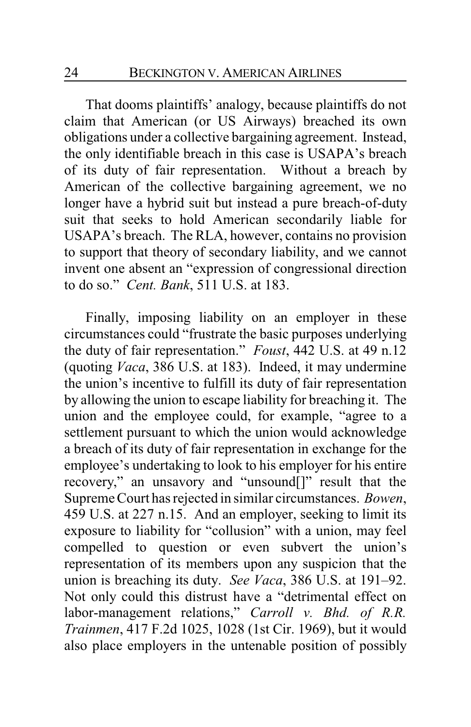That dooms plaintiffs' analogy, because plaintiffs do not claim that American (or US Airways) breached its own obligations under a collective bargaining agreement. Instead, the only identifiable breach in this case is USAPA's breach of its duty of fair representation. Without a breach by American of the collective bargaining agreement, we no longer have a hybrid suit but instead a pure breach-of-duty suit that seeks to hold American secondarily liable for USAPA's breach. The RLA, however, contains no provision to support that theory of secondary liability, and we cannot invent one absent an "expression of congressional direction to do so." *Cent. Bank*, 511 U.S. at 183.

Finally, imposing liability on an employer in these circumstances could "frustrate the basic purposes underlying the duty of fair representation." *Foust*, 442 U.S. at 49 n.12 (quoting *Vaca*, 386 U.S. at 183). Indeed, it may undermine the union's incentive to fulfill its duty of fair representation by allowing the union to escape liability for breaching it. The union and the employee could, for example, "agree to a settlement pursuant to which the union would acknowledge a breach of its duty of fair representation in exchange for the employee's undertaking to look to his employer for his entire recovery," an unsavory and "unsound[]" result that the Supreme Court has rejected in similar circumstances. *Bowen*, 459 U.S. at 227 n.15. And an employer, seeking to limit its exposure to liability for "collusion" with a union, may feel compelled to question or even subvert the union's representation of its members upon any suspicion that the union is breaching its duty. *See Vaca*, 386 U.S. at 191–92. Not only could this distrust have a "detrimental effect on labor-management relations," *Carroll v. Bhd. of R.R. Trainmen*, 417 F.2d 1025, 1028 (1st Cir. 1969), but it would also place employers in the untenable position of possibly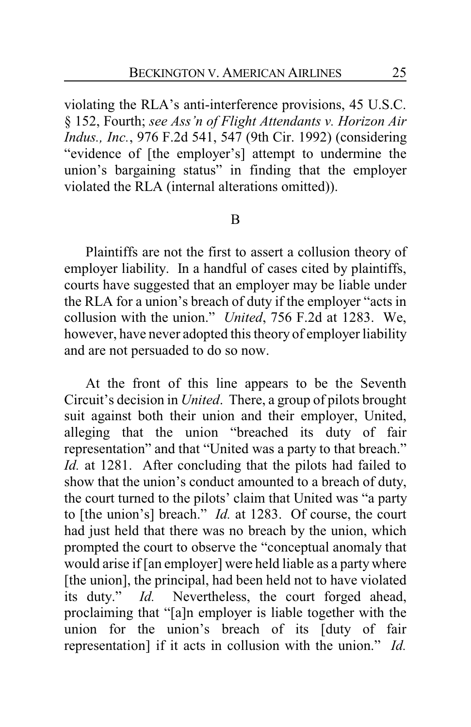violating the RLA's anti-interference provisions, 45 U.S.C. § 152, Fourth; *see Ass'n of Flight Attendants v. Horizon Air Indus., Inc.*, 976 F.2d 541, 547 (9th Cir. 1992) (considering "evidence of [the employer's] attempt to undermine the union's bargaining status" in finding that the employer violated the RLA (internal alterations omitted)).

# B

Plaintiffs are not the first to assert a collusion theory of employer liability. In a handful of cases cited by plaintiffs, courts have suggested that an employer may be liable under the RLA for a union's breach of duty if the employer "acts in collusion with the union." *United*, 756 F.2d at 1283. We, however, have never adopted this theory of employer liability and are not persuaded to do so now.

At the front of this line appears to be the Seventh Circuit's decision in *United*. There, a group of pilots brought suit against both their union and their employer, United, alleging that the union "breached its duty of fair representation" and that "United was a party to that breach." *Id.* at 1281. After concluding that the pilots had failed to show that the union's conduct amounted to a breach of duty, the court turned to the pilots' claim that United was "a party to [the union's] breach." *Id.* at 1283. Of course, the court had just held that there was no breach by the union, which prompted the court to observe the "conceptual anomaly that would arise if [an employer] were held liable as a party where [the union], the principal, had been held not to have violated its duty." *Id.* Nevertheless, the court forged ahead, proclaiming that "[a]n employer is liable together with the union for the union's breach of its [duty of fair representation] if it acts in collusion with the union." *Id.*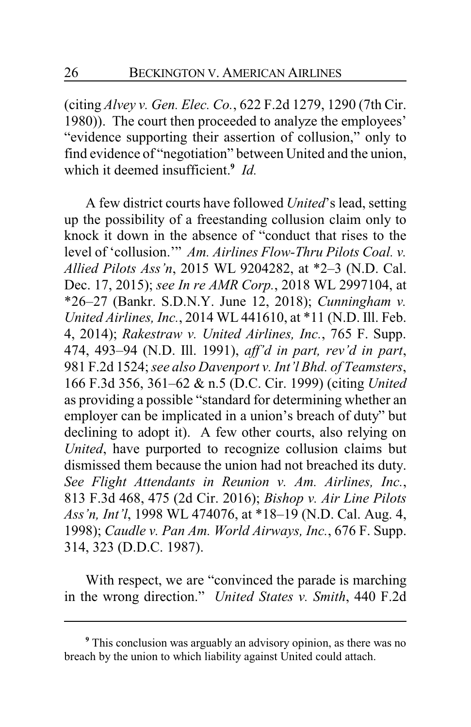(citing *Alvey v. Gen. Elec. Co.*, 622 F.2d 1279, 1290 (7th Cir. 1980)). The court then proceeded to analyze the employees' "evidence supporting their assertion of collusion," only to find evidence of "negotiation" between United and the union, which it deemed insufficient.**<sup>9</sup>** *Id.*

A few district courts have followed *United*'s lead, setting up the possibility of a freestanding collusion claim only to knock it down in the absence of "conduct that rises to the level of 'collusion.'" *Am. Airlines Flow-Thru Pilots Coal. v. Allied Pilots Ass'n*, 2015 WL 9204282, at \*2–3 (N.D. Cal. Dec. 17, 2015); *see In re AMR Corp.*, 2018 WL 2997104, at \*26–27 (Bankr. S.D.N.Y. June 12, 2018); *Cunningham v. United Airlines, Inc.*, 2014 WL 441610, at \*11 (N.D. Ill. Feb. 4, 2014); *Rakestraw v. United Airlines, Inc.*, 765 F. Supp. 474, 493–94 (N.D. Ill. 1991), *aff'd in part, rev'd in part*, 981 F.2d 1524; *see also Davenport v. Int'l Bhd. of Teamsters*, 166 F.3d 356, 361–62 & n.5 (D.C. Cir. 1999) (citing *United* as providing a possible "standard for determining whether an employer can be implicated in a union's breach of duty" but declining to adopt it). A few other courts, also relying on *United*, have purported to recognize collusion claims but dismissed them because the union had not breached its duty. *See Flight Attendants in Reunion v. Am. Airlines, Inc.*, 813 F.3d 468, 475 (2d Cir. 2016); *Bishop v. Air Line Pilots Ass'n, Int'l*, 1998 WL 474076, at \*18–19 (N.D. Cal. Aug. 4, 1998); *Caudle v. Pan Am. World Airways, Inc.*, 676 F. Supp. 314, 323 (D.D.C. 1987).

With respect, we are "convinced the parade is marching in the wrong direction." *United States v. Smith*, 440 F.2d

**<sup>9</sup>** This conclusion was arguably an advisory opinion, as there was no breach by the union to which liability against United could attach.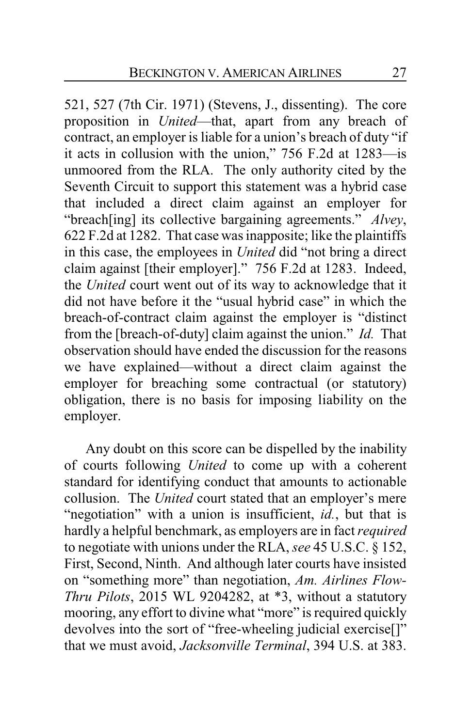521, 527 (7th Cir. 1971) (Stevens, J., dissenting). The core proposition in *United*—that, apart from any breach of contract, an employer is liable for a union's breach of duty "if it acts in collusion with the union," 756 F.2d at 1283—is unmoored from the RLA. The only authority cited by the Seventh Circuit to support this statement was a hybrid case that included a direct claim against an employer for "breach[ing] its collective bargaining agreements." *Alvey*, 622 F.2d at 1282. That case was inapposite; like the plaintiffs in this case, the employees in *United* did "not bring a direct claim against [their employer]." 756 F.2d at 1283. Indeed, the *United* court went out of its way to acknowledge that it did not have before it the "usual hybrid case" in which the breach-of-contract claim against the employer is "distinct from the [breach-of-duty] claim against the union." *Id.* That observation should have ended the discussion for the reasons we have explained—without a direct claim against the employer for breaching some contractual (or statutory) obligation, there is no basis for imposing liability on the employer.

Any doubt on this score can be dispelled by the inability of courts following *United* to come up with a coherent standard for identifying conduct that amounts to actionable collusion. The *United* court stated that an employer's mere "negotiation" with a union is insufficient, *id.*, but that is hardly a helpful benchmark, as employers are in fact *required* to negotiate with unions under the RLA, *see* 45 U.S.C. § 152, First, Second, Ninth. And although later courts have insisted on "something more" than negotiation, *Am. Airlines Flow-Thru Pilots*, 2015 WL 9204282, at \*3, without a statutory mooring, any effort to divine what "more" is required quickly devolves into the sort of "free-wheeling judicial exercise[]" that we must avoid, *Jacksonville Terminal*, 394 U.S. at 383.